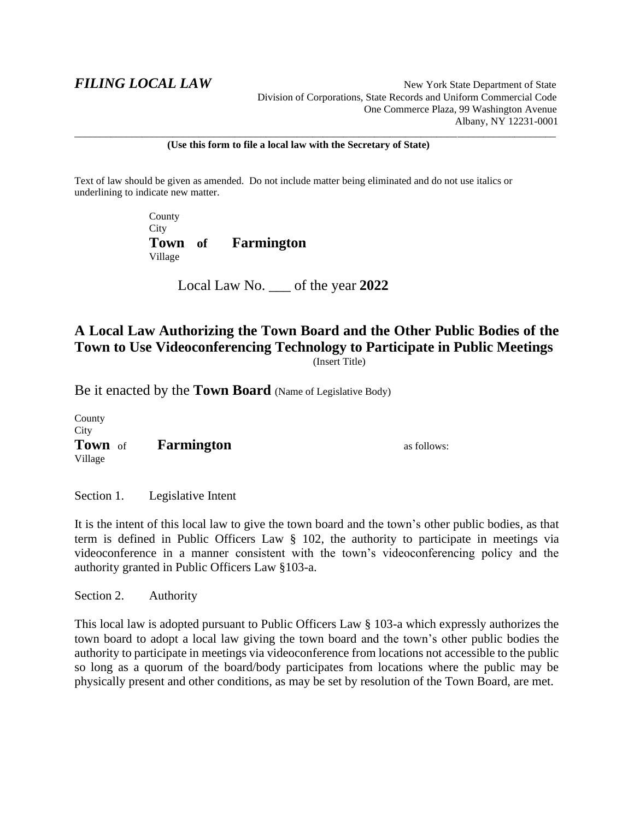**FILING LOCAL LAW**<br>
New York State Department of State Division of Corporations, State Records and Uniform Commercial Code One Commerce Plaza, 99 Washington Avenue Albany, NY 12231-0001

**(Use this form to file a local law with the Secretary of State)**

\_\_\_\_\_\_\_\_\_\_\_\_\_\_\_\_\_\_\_\_\_\_\_\_\_\_\_\_\_\_\_\_\_\_\_\_\_\_\_\_\_\_\_\_\_\_\_\_\_\_\_\_\_\_\_\_\_\_\_\_\_\_\_\_\_\_\_\_\_\_\_\_\_\_\_\_\_\_\_\_\_\_\_\_\_\_\_\_\_\_\_\_\_

Text of law should be given as amended. Do not include matter being eliminated and do not use italics or underlining to indicate new matter.

> County City **Town of Farmington** Village

> > Local Law No. \_\_\_ of the year **2022**

# **A Local Law Authorizing the Town Board and the Other Public Bodies of the Town to Use Videoconferencing Technology to Participate in Public Meetings** (Insert Title)

Be it enacted by the **Town Board** (Name of Legislative Body)

County **City Town** of **Farmington as follows:** Village

Section 1. Legislative Intent

It is the intent of this local law to give the town board and the town's other public bodies, as that term is defined in Public Officers Law § 102, the authority to participate in meetings via videoconference in a manner consistent with the town's videoconferencing policy and the authority granted in Public Officers Law §103-a.

Section 2. Authority

This local law is adopted pursuant to Public Officers Law § 103-a which expressly authorizes the town board to adopt a local law giving the town board and the town's other public bodies the authority to participate in meetings via videoconference from locations not accessible to the public so long as a quorum of the board/body participates from locations where the public may be physically present and other conditions, as may be set by resolution of the Town Board, are met.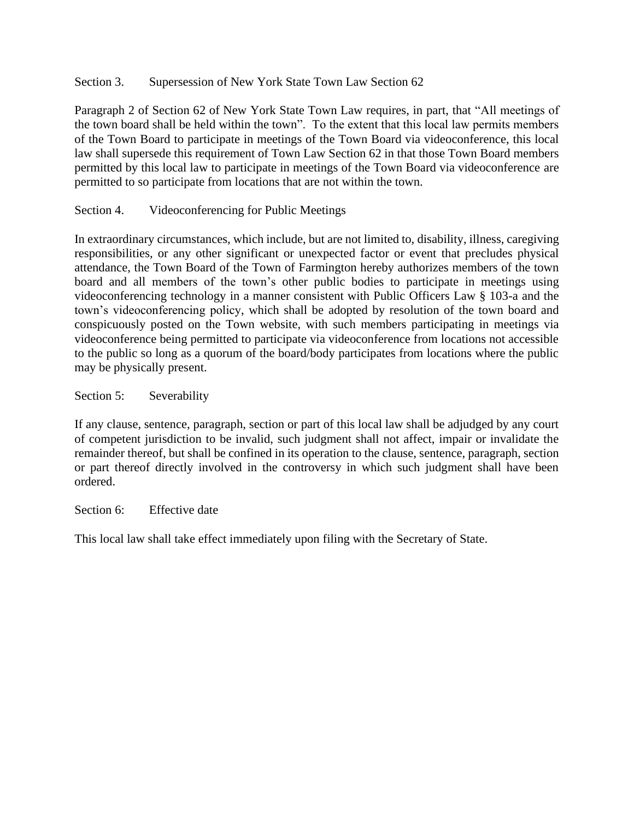Section 3. Supersession of New York State Town Law Section 62

Paragraph 2 of Section 62 of New York State Town Law requires, in part, that "All meetings of the town board shall be held within the town". To the extent that this local law permits members of the Town Board to participate in meetings of the Town Board via videoconference, this local law shall supersede this requirement of Town Law Section 62 in that those Town Board members permitted by this local law to participate in meetings of the Town Board via videoconference are permitted to so participate from locations that are not within the town.

### Section 4. Videoconferencing for Public Meetings

In extraordinary circumstances, which include, but are not limited to, disability, illness, caregiving responsibilities, or any other significant or unexpected factor or event that precludes physical attendance, the Town Board of the Town of Farmington hereby authorizes members of the town board and all members of the town's other public bodies to participate in meetings using videoconferencing technology in a manner consistent with Public Officers Law § 103-a and the town's videoconferencing policy, which shall be adopted by resolution of the town board and conspicuously posted on the Town website, with such members participating in meetings via videoconference being permitted to participate via videoconference from locations not accessible to the public so long as a quorum of the board/body participates from locations where the public may be physically present.

Section 5: Severability

If any clause, sentence, paragraph, section or part of this local law shall be adjudged by any court of competent jurisdiction to be invalid, such judgment shall not affect, impair or invalidate the remainder thereof, but shall be confined in its operation to the clause, sentence, paragraph, section or part thereof directly involved in the controversy in which such judgment shall have been ordered.

Section 6: Effective date

This local law shall take effect immediately upon filing with the Secretary of State.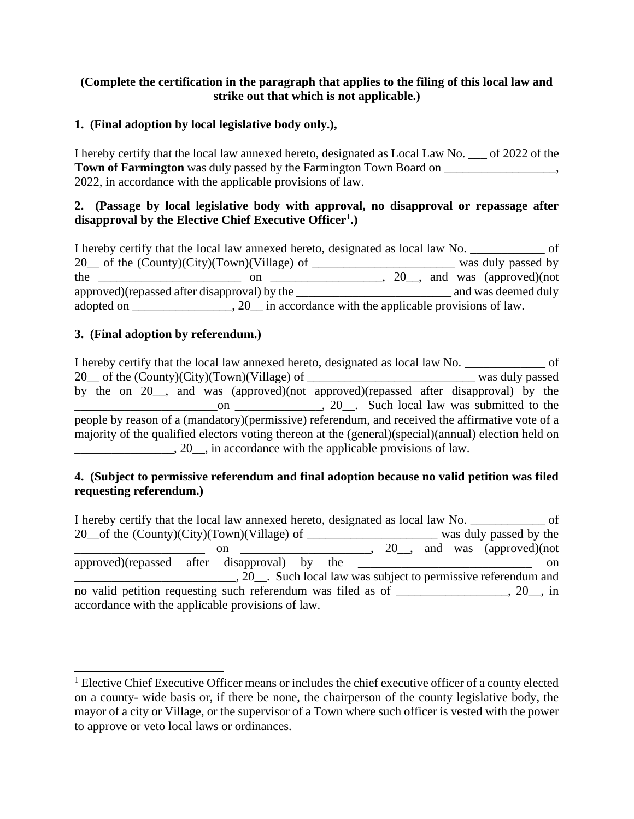## **(Complete the certification in the paragraph that applies to the filing of this local law and strike out that which is not applicable.)**

# **1. (Final adoption by local legislative body only.),**

I hereby certify that the local law annexed hereto, designated as Local Law No. \_\_\_ of 2022 of the **Town of Farmington** was duly passed by the Farmington Town Board on \_\_\_\_\_\_\_\_\_\_\_\_\_, 2022, in accordance with the applicable provisions of law.

# **2. (Passage by local legislative body with approval, no disapproval or repassage after disapproval by the Elective Chief Executive Officer<sup>1</sup> .)**

I hereby certify that the local law annexed hereto, designated as local law No. \_\_\_\_\_\_\_\_\_\_\_\_ of 20\_ of the (County)(City)(Town)(Village) of \_\_\_\_\_\_\_\_\_\_\_\_\_\_\_\_\_\_\_\_\_\_\_\_\_\_\_\_\_\_\_\_ was duly passed by the  $\frac{1}{\sqrt{1-\frac{1}{\sqrt{1-\frac{1}{\sqrt{1-\frac{1}{\sqrt{1-\frac{1}{\sqrt{1-\frac{1}{\sqrt{1-\frac{1}{\sqrt{1-\frac{1}{\sqrt{1-\frac{1}{\sqrt{1-\frac{1}{\sqrt{1-\frac{1}{\sqrt{1-\frac{1}{\sqrt{1-\frac{1}{\sqrt{1-\frac{1}{\sqrt{1-\frac{1}{\sqrt{1-\frac{1}{\sqrt{1-\frac{1}{\sqrt{1-\frac{1}{\sqrt{1-\frac{1}{\sqrt{1-\frac{1}{\sqrt{1-\frac{1}{\sqrt{1-\frac{1}{\sqrt{1-\frac{1}{\sqrt{1-\frac{1}{\sqrt{1$ approved)(repassed after disapproval) by the \_\_\_\_\_\_\_\_\_\_\_\_\_\_\_\_\_\_\_\_\_\_\_\_\_ and was deemed duly adopted on \_\_\_\_\_\_\_\_\_\_\_\_\_\_\_\_\_\_, 20\_\_\_ in accordance with the applicable provisions of law.

# **3. (Final adoption by referendum.)**

I hereby certify that the local law annexed hereto, designated as local law No. \_\_\_\_\_\_\_\_\_\_\_\_\_ of 20\_\_ of the (County)(City)(Town)(Village) of \_\_\_\_\_\_\_\_\_\_\_\_\_\_\_\_\_\_\_\_\_\_\_\_\_\_\_ was duly passed by the on 20<sub>\_\_</sub>, and was (approved)(not approved)(repassed after disapproval) by the \_\_\_\_\_\_\_\_\_\_\_\_\_\_\_\_\_\_\_\_\_\_\_on \_\_\_\_\_\_\_\_\_\_\_\_\_\_, 20\_\_. Such local law was submitted to the people by reason of a (mandatory)(permissive) referendum, and received the affirmative vote of a majority of the qualified electors voting thereon at the (general)(special)(annual) election held on **EXECUTE:** 20, in accordance with the applicable provisions of law.

#### **4. (Subject to permissive referendum and final adoption because no valid petition was filed requesting referendum.)**

I hereby certify that the local law annexed hereto, designated as local law No.  $\sigma$  of 20 of the (County)(City)(Town)(Village) of \_\_\_\_\_\_\_\_\_\_\_\_\_\_\_\_\_\_\_\_\_\_\_\_ was duly passed by the on  $\frac{1}{\sqrt{2}}$  on  $\frac{1}{\sqrt{2}}$  on  $\frac{1}{\sqrt{2}}$  on  $\frac{1}{\sqrt{2}}$  on  $\frac{1}{\sqrt{2}}$  on  $\frac{1}{\sqrt{2}}$  on  $\frac{1}{\sqrt{2}}$  on  $\frac{1}{\sqrt{2}}$  on  $\frac{1}{\sqrt{2}}$  on  $\frac{1}{\sqrt{2}}$  on  $\frac{1}{\sqrt{2}}$  on  $\frac{1}{\sqrt{2}}$  on  $\frac{1}{\sqrt{2}}$  on  $\frac{1}{\sqrt{2$ approved)(repassed after disapproval) by the  $\Box$ \_\_\_\_\_\_\_\_\_\_\_\_\_\_\_\_\_\_\_\_\_\_\_\_\_\_, 20\_\_. Such local law was subject to permissive referendum and no valid petition requesting such referendum was filed as of \_\_\_\_\_\_\_\_\_\_\_\_\_\_, 20\_, in accordance with the applicable provisions of law.

<sup>&</sup>lt;sup>1</sup> Elective Chief Executive Officer means or includes the chief executive officer of a county elected on a county- wide basis or, if there be none, the chairperson of the county legislative body, the mayor of a city or Village, or the supervisor of a Town where such officer is vested with the power to approve or veto local laws or ordinances.